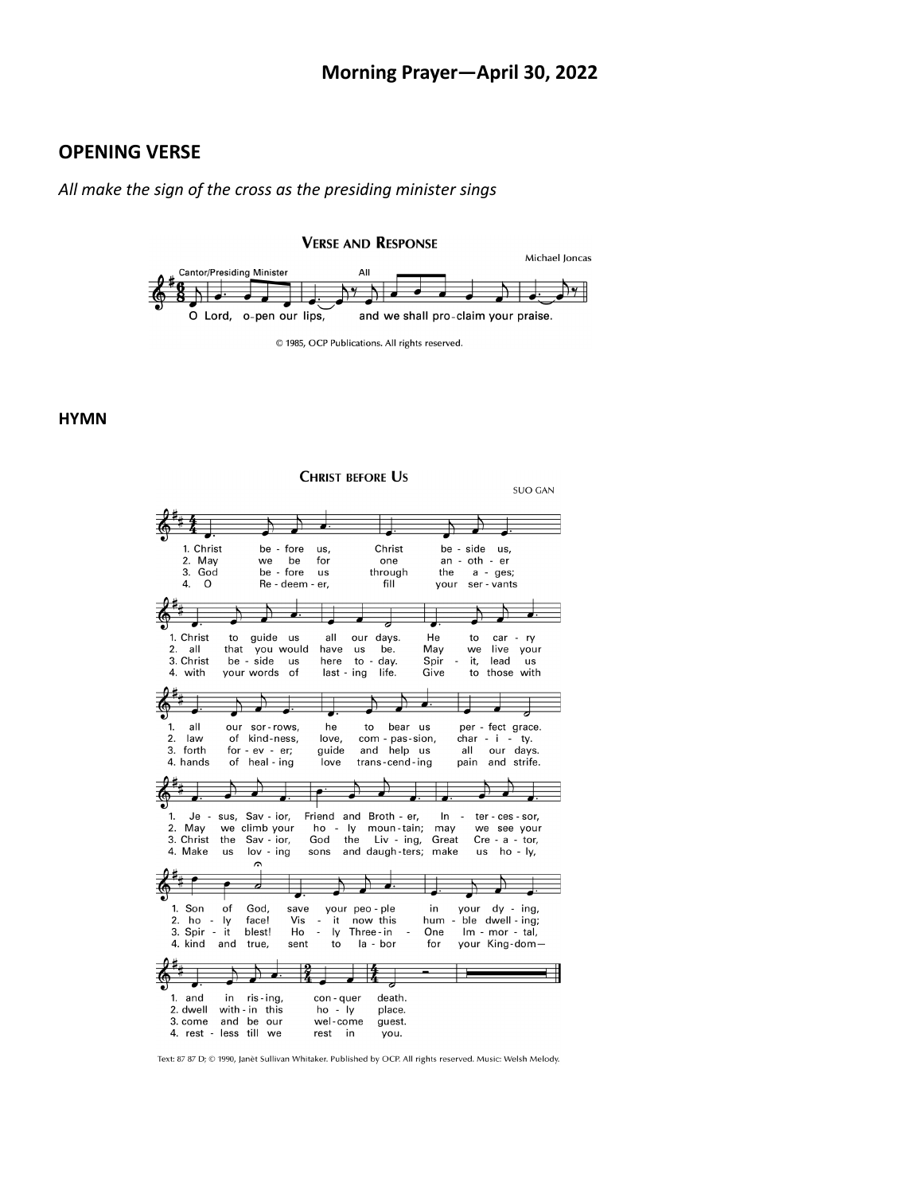#### **Morning Prayer—April 30, 2022**

### **OPENING VERSE**

*All make the sign of the cross as the presiding minister sings*

**VERSE AND RESPONSE** 



<sup>© 1985,</sup> OCP Publications. All rights reserved.

#### **HYMN**



Text: 87 87 D; © 1990, Janèt Sullivan Whitaker. Published by OCP. All rights reserved. Music: Welsh Melody.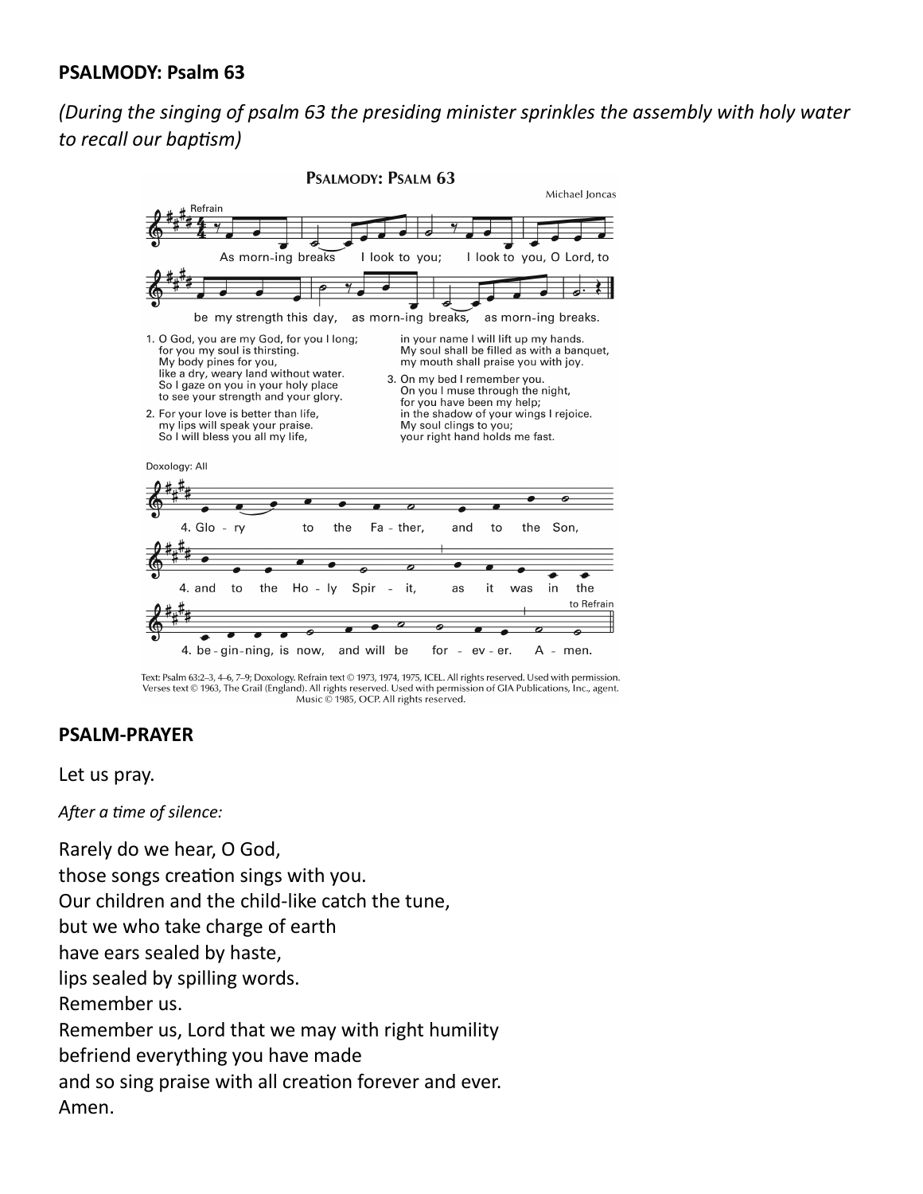### **PSALMODY: Psalm 63**

# *(During the singing of psalm 63 the presiding minister sprinkles the assembly with holy water to recall our baptism)*



Text: Psalm 63:2-3, 4-6, 7-9; Doxology. Refrain text © 1973, 1974, 1975, ICEL. All rights reserved. Used with permission. Verses text © 1963, The Grail (England). All rights reserved. Used with permission of GIA Publications, Inc., agent. Music @ 1985, OCP. All rights reserved.

### **PSALM-PRAYER**

Let us pray.

*After a time of silence:*

Rarely do we hear, O God, those songs creation sings with you. Our children and the child-like catch the tune, but we who take charge of earth have ears sealed by haste, lips sealed by spilling words. Remember us. Remember us, Lord that we may with right humility befriend everything you have made and so sing praise with all creation forever and ever. Amen.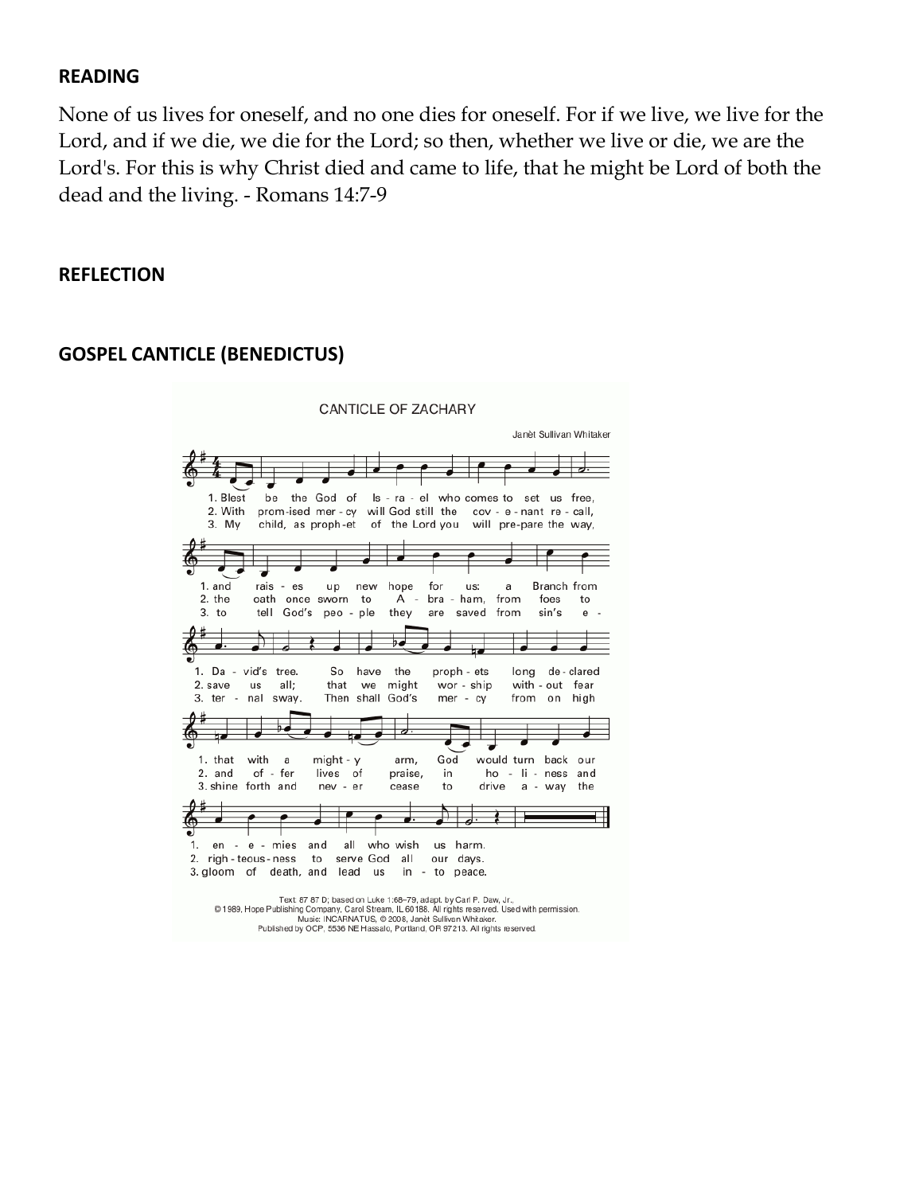### **READING**

None of us lives for oneself, and no one dies for oneself. For if we live, we live for the Lord, and if we die, we die for the Lord; so then, whether we live or die, we are the Lord's. For this is why Christ died and came to life, that he might be Lord of both the dead and the living. - Romans 14:7-9

### **REFLECTION**



# **GOSPEL CANTICLE (BENEDICTUS)**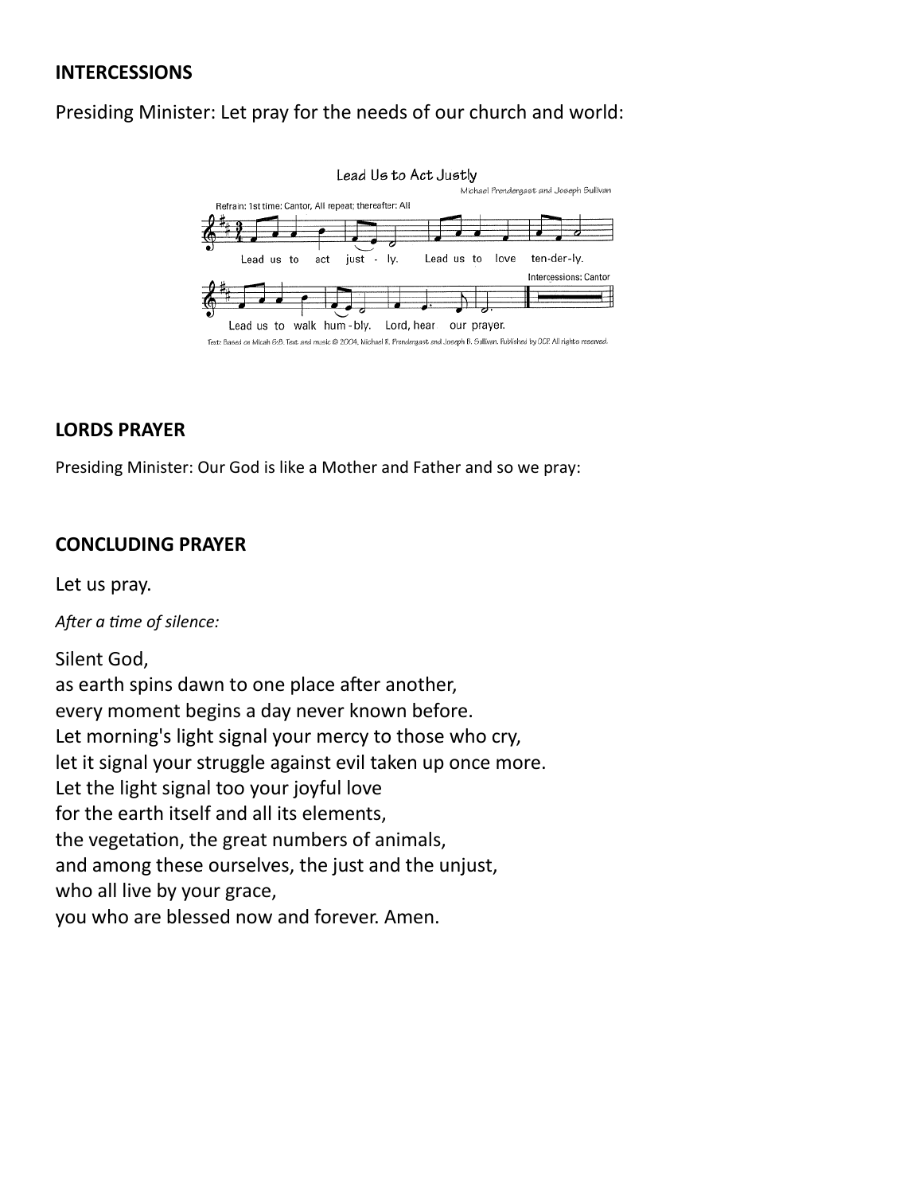### **INTERCESSIONS**

# Presiding Minister: Let pray for the needs of our church and world:



### **LORDS PRAYER**

Presiding Minister: Our God is like a Mother and Father and so we pray:

### **CONCLUDING PRAYER**

Let us pray.

*After a time of silence:*

Silent God, as earth spins dawn to one place after another, every moment begins a day never known before. Let morning's light signal your mercy to those who cry, let it signal your struggle against evil taken up once more. Let the light signal too your joyful love for the earth itself and all its elements, the vegetation, the great numbers of animals, and among these ourselves, the just and the unjust, who all live by your grace, you who are blessed now and forever. Amen.